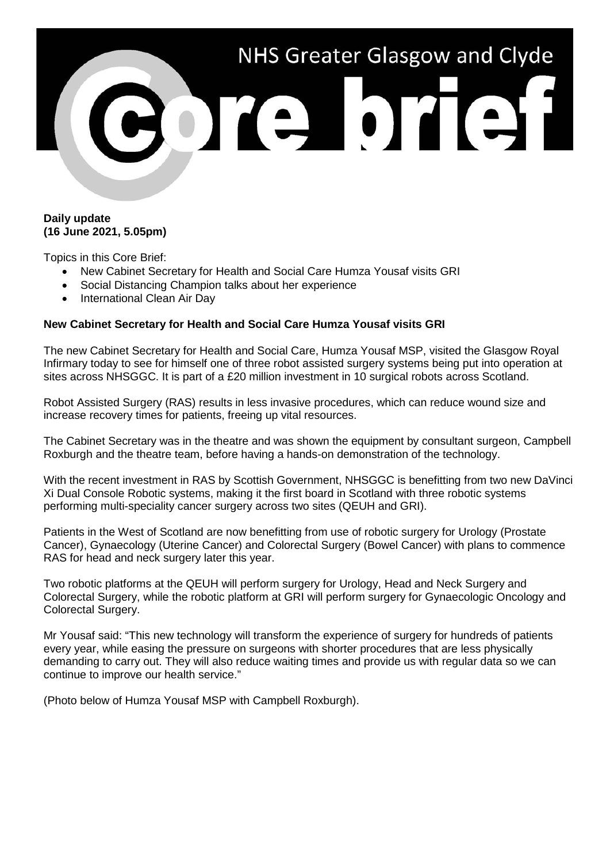

## **Daily update (16 June 2021, 5.05pm)**

Topics in this Core Brief:

- New Cabinet Secretary for Health and Social Care Humza Yousaf visits GRI
- Social Distancing Champion talks about her experience
- International Clean Air Day

## **New Cabinet Secretary for Health and Social Care Humza Yousaf visits GRI**

The new Cabinet Secretary for Health and Social Care, Humza Yousaf MSP, visited the Glasgow Royal Infirmary today to see for himself one of three robot assisted surgery systems being put into operation at sites across NHSGGC. It is part of a £20 million investment in 10 surgical robots across Scotland.

Robot Assisted Surgery (RAS) results in less invasive procedures, which can reduce wound size and increase recovery times for patients, freeing up vital resources.

The Cabinet Secretary was in the theatre and was shown the equipment by consultant surgeon, Campbell Roxburgh and the theatre team, before having a hands-on demonstration of the technology.

With the recent investment in RAS by Scottish Government, NHSGGC is benefitting from two new DaVinci Xi Dual Console Robotic systems, making it the first board in Scotland with three robotic systems performing multi-speciality cancer surgery across two sites (QEUH and GRI).

Patients in the West of Scotland are now benefitting from use of robotic surgery for Urology (Prostate Cancer), Gynaecology (Uterine Cancer) and Colorectal Surgery (Bowel Cancer) with plans to commence RAS for head and neck surgery later this year.

Two robotic platforms at the QEUH will perform surgery for Urology, Head and Neck Surgery and Colorectal Surgery, while the robotic platform at GRI will perform surgery for Gynaecologic Oncology and Colorectal Surgery.

Mr Yousaf said: "This new technology will transform the experience of surgery for hundreds of patients every year, while easing the pressure on surgeons with shorter procedures that are less physically demanding to carry out. They will also reduce waiting times and provide us with regular data so we can continue to improve our health service."

(Photo below of Humza Yousaf MSP with Campbell Roxburgh).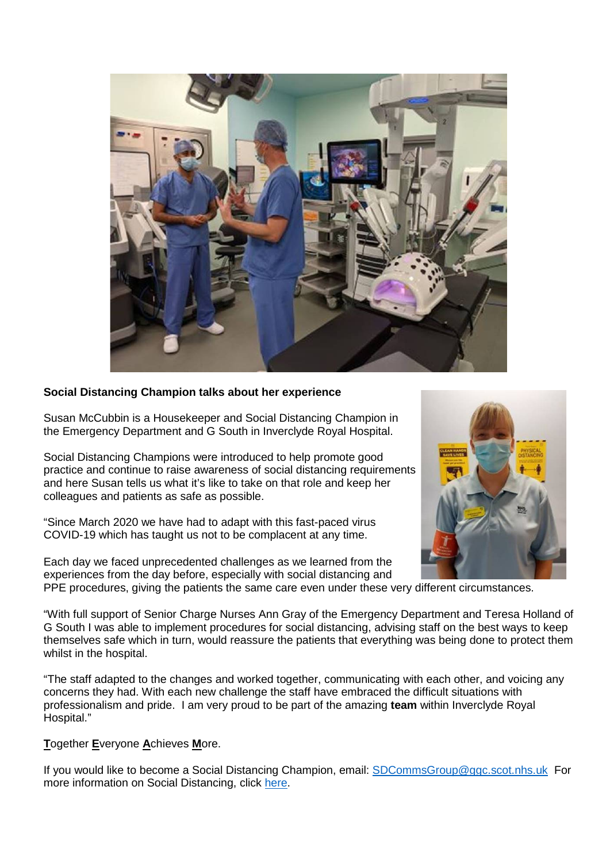

## **Social Distancing Champion talks about her experience**

Susan McCubbin is a Housekeeper and Social Distancing Champion in the Emergency Department and G South in Inverclyde Royal Hospital.

Social Distancing Champions were introduced to help promote good practice and continue to raise awareness of social distancing requirements and here Susan tells us what it's like to take on that role and keep her colleagues and patients as safe as possible.

"Since March 2020 we have had to adapt with this fast-paced virus COVID-19 which has taught us not to be complacent at any time.

Each day we faced unprecedented challenges as we learned from the experiences from the day before, especially with social distancing and



PPE procedures, giving the patients the same care even under these very different circumstances.

"With full support of Senior Charge Nurses Ann Gray of the Emergency Department and Teresa Holland of G South I was able to implement procedures for social distancing, advising staff on the best ways to keep themselves safe which in turn, would reassure the patients that everything was being done to protect them whilst in the hospital.

"The staff adapted to the changes and worked together, communicating with each other, and voicing any concerns they had. With each new challenge the staff have embraced the difficult situations with professionalism and pride. I am very proud to be part of the amazing **team** within Inverclyde Royal Hospital."

**T**ogether **E**veryone **A**chieves **M**ore.

If you would like to become a Social Distancing Champion, email: [SDCommsGroup@ggc.scot.nhs.uk](mailto:SDCommsGroup@ggc.scot.nhs.uk) For more information on Social Distancing, click [here.](https://www.nhsggc.org.uk/your-health/health-issues/covid-19-coronavirus/for-nhsggc-staff/social-distancing-in-the-workplace/)